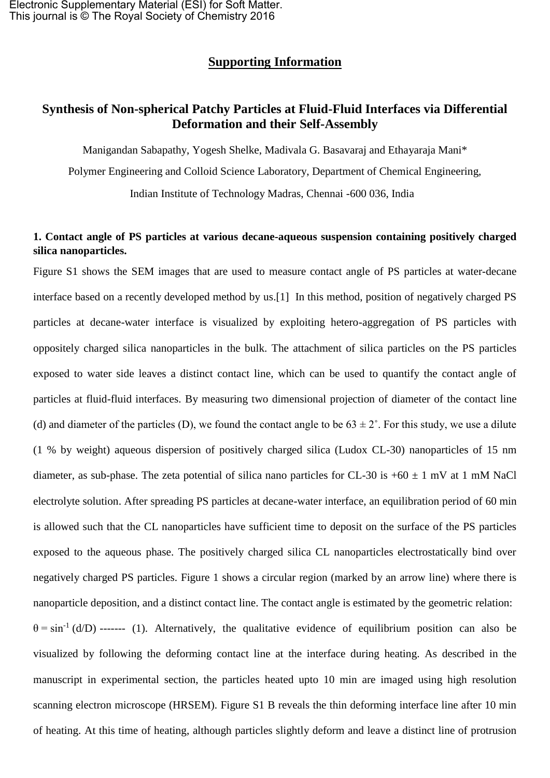## **Supporting Information**

# **Synthesis of Non-spherical Patchy Particles at Fluid-Fluid Interfaces via Differential Deformation and their Self-Assembly**

Manigandan Sabapathy, Yogesh Shelke, Madivala G. Basavaraj and Ethayaraja Mani\* Polymer Engineering and Colloid Science Laboratory, Department of Chemical Engineering, Indian Institute of Technology Madras, Chennai -600 036, India

### **1. Contact angle of PS particles at various decane-aqueous suspension containing positively charged silica nanoparticles.**

Figure S1 shows the SEM images that are used to measure contact angle of PS particles at water-decane interface based on a recently developed method by us.[1] In this method, position of negatively charged PS particles at decane-water interface is visualized by exploiting hetero-aggregation of PS particles with oppositely charged silica nanoparticles in the bulk. The attachment of silica particles on the PS particles exposed to water side leaves a distinct contact line, which can be used to quantify the contact angle of particles at fluid-fluid interfaces. By measuring two dimensional projection of diameter of the contact line (d) and diameter of the particles (D), we found the contact angle to be  $63 \pm 2^{\circ}$ . For this study, we use a dilute (1 % by weight) aqueous dispersion of positively charged silica (Ludox CL-30) nanoparticles of 15 nm diameter, as sub-phase. The zeta potential of silica nano particles for CL-30 is  $+60 \pm 1$  mV at 1 mM NaCl electrolyte solution. After spreading PS particles at decane-water interface, an equilibration period of 60 min is allowed such that the CL nanoparticles have sufficient time to deposit on the surface of the PS particles exposed to the aqueous phase. The positively charged silica CL nanoparticles electrostatically bind over negatively charged PS particles. Figure 1 shows a circular region (marked by an arrow line) where there is nanoparticle deposition, and a distinct contact line. The contact angle is estimated by the geometric relation:  $\theta = \sin^{-1} (d/D)$  ------- (1). Alternatively, the qualitative evidence of equilibrium position can also be visualized by following the deforming contact line at the interface during heating. As described in the manuscript in experimental section, the particles heated upto 10 min are imaged using high resolution scanning electron microscope (HRSEM). Figure S1 B reveals the thin deforming interface line after 10 min of heating. At this time of heating, although particles slightly deform and leave a distinct line of protrusion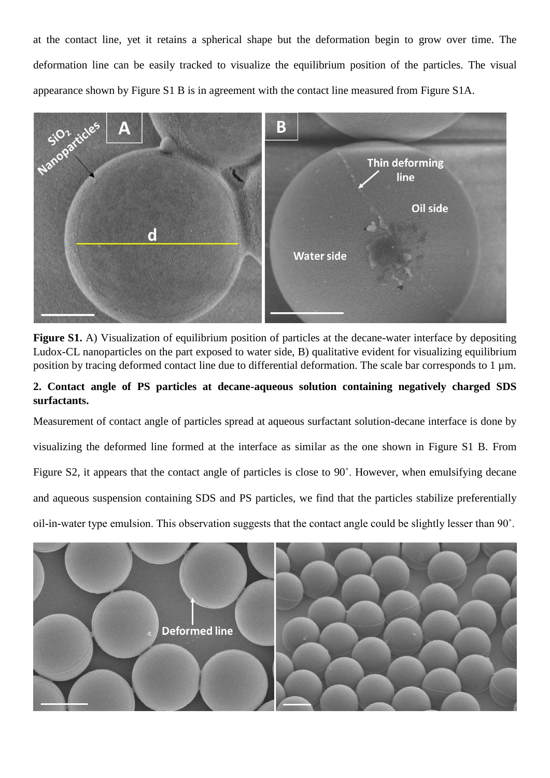at the contact line, yet it retains a spherical shape but the deformation begin to grow over time. The deformation line can be easily tracked to visualize the equilibrium position of the particles. The visual appearance shown by Figure S1 B is in agreement with the contact line measured from Figure S1A.



**Figure S1.** A) Visualization of equilibrium position of particles at the decane-water interface by depositing Ludox-CL nanoparticles on the part exposed to water side, B) qualitative evident for visualizing equilibrium position by tracing deformed contact line due to differential deformation. The scale bar corresponds to 1  $\mu$ m.

## **2. Contact angle of PS particles at decane-aqueous solution containing negatively charged SDS surfactants.**

Measurement of contact angle of particles spread at aqueous surfactant solution-decane interface is done by visualizing the deformed line formed at the interface as similar as the one shown in Figure S1 B. From Figure S2, it appears that the contact angle of particles is close to 90˚. However, when emulsifying decane and aqueous suspension containing SDS and PS particles, we find that the particles stabilize preferentially oil-in-water type emulsion. This observation suggests that the contact angle could be slightly lesser than 90˚.

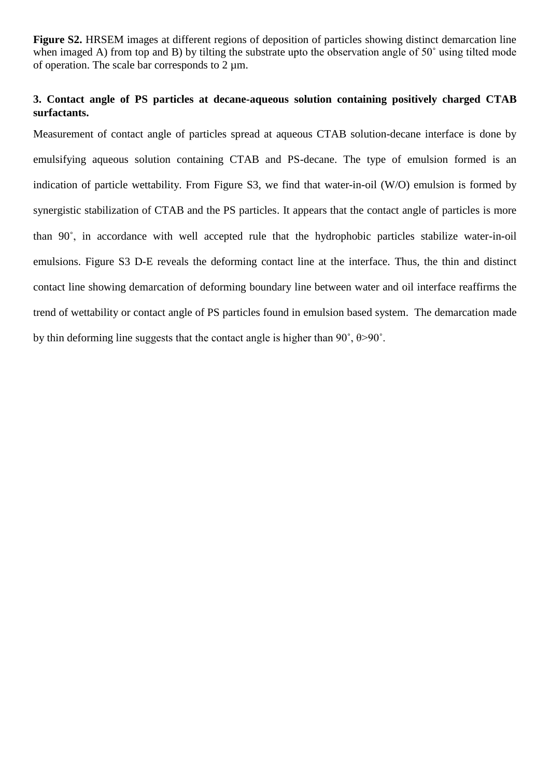**Figure S2.** HRSEM images at different regions of deposition of particles showing distinct demarcation line when imaged A) from top and B) by tilting the substrate upto the observation angle of 50° using tilted mode of operation. The scale bar corresponds to  $2 \mu m$ .

### **3. Contact angle of PS particles at decane-aqueous solution containing positively charged CTAB surfactants.**

Measurement of contact angle of particles spread at aqueous CTAB solution-decane interface is done by emulsifying aqueous solution containing CTAB and PS-decane. The type of emulsion formed is an indication of particle wettability. From Figure S3, we find that water-in-oil (W/O) emulsion is formed by synergistic stabilization of CTAB and the PS particles. It appears that the contact angle of particles is more than 90˚, in accordance with well accepted rule that the hydrophobic particles stabilize water-in-oil emulsions. Figure S3 D-E reveals the deforming contact line at the interface. Thus, the thin and distinct contact line showing demarcation of deforming boundary line between water and oil interface reaffirms the trend of wettability or contact angle of PS particles found in emulsion based system. The demarcation made by thin deforming line suggests that the contact angle is higher than 90˚, θ>90˚.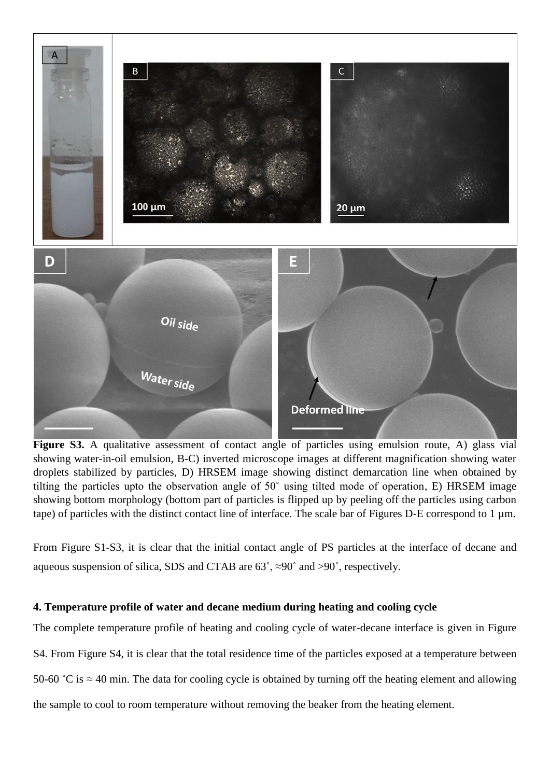

Figure S3. A qualitative assessment of contact angle of particles using emulsion route, A) glass vial showing water-in-oil emulsion, B-C) inverted microscope images at different magnification showing water droplets stabilized by particles, D) HRSEM image showing distinct demarcation line when obtained by tilting the particles upto the observation angle of 50˚ using tilted mode of operation, E) HRSEM image showing bottom morphology (bottom part of particles is flipped up by peeling off the particles using carbon tape) of particles with the distinct contact line of interface. The scale bar of Figures D-E correspond to 1  $\mu$ m.

From Figure S1-S3, it is clear that the initial contact angle of PS particles at the interface of decane and aqueous suspension of silica, SDS and CTAB are  $63^\circ$ ,  $\approx 90^\circ$  and  $>90^\circ$ , respectively.

### **4. Temperature profile of water and decane medium during heating and cooling cycle**

The complete temperature profile of heating and cooling cycle of water-decane interface is given in Figure S4. From Figure S4, it is clear that the total residence time of the particles exposed at a temperature between 50-60 °C is  $\approx$  40 min. The data for cooling cycle is obtained by turning off the heating element and allowing the sample to cool to room temperature without removing the beaker from the heating element.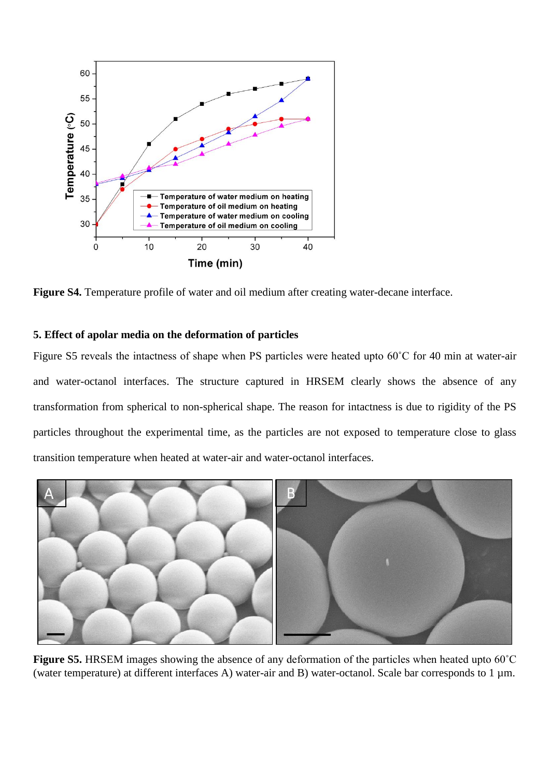

**Figure S4.** Temperature profile of water and oil medium after creating water-decane interface.

#### **5. Effect of apolar media on the deformation of particles**

Figure S5 reveals the intactness of shape when PS particles were heated upto 60˚C for 40 min at water-air and water-octanol interfaces. The structure captured in HRSEM clearly shows the absence of any transformation from spherical to non-spherical shape. The reason for intactness is due to rigidity of the PS particles throughout the experimental time, as the particles are not exposed to temperature close to glass transition temperature when heated at water-air and water-octanol interfaces.



**Figure S5.** HRSEM images showing the absence of any deformation of the particles when heated upto 60˚C (water temperature) at different interfaces A) water-air and B) water-octanol. Scale bar corresponds to 1 µm.